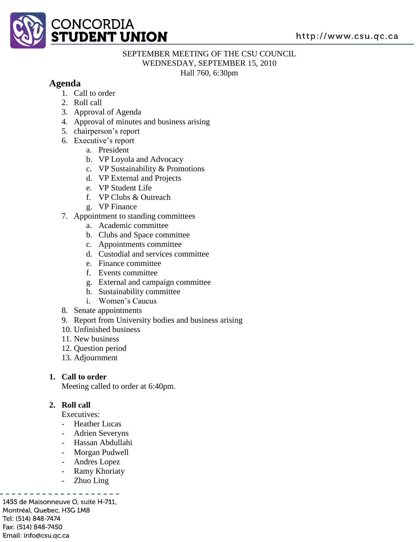

# SEPTEMBER MEETING OF THE CSU COUNCIL

WEDNESDAY, SEPTEMBER 15, 2010

Hall 760, 6:30pm

## **Agenda**

- 1. Call to order
- 2. Roll call
- 3. Approval of Agenda
- 4. Approval of minutes and business arising
- 5. chairperson's report
- 6. Executive's report
	- a. President
	- b. VP Loyola and Advocacy
	- c. VP Sustainability & Promotions
	- d. VP External and Projects
	- e. VP Student Life
	- f. VP Clubs & Outreach
	- g. VP Finance
- 7. Appointment to standing committees
	- a. Academic committee
	- b. Clubs and Space committee
	- c. Appointments committee
	- d. Custodial and services committee
	- e. Finance committee
	- f. Events committee
	- g. External and campaign committee
	- h. Sustainability committee
	- i. Women's Caucus
- 8. Senate appointments
- 9. Report from University bodies and business arising
- 10. Unfinished business
- 11. New business
- 12. Question period
- 13. Adjournment

## **1. Call to order**

Meeting called to order at 6:40pm.

## **2. Roll call**

Executives:

- Heather Lucas
- Adrien Severyns
- Hassan Abdullahi
- Morgan Pudwell
- Andres Lopez
- **Ramy Khoriaty**
- Zhuo Ling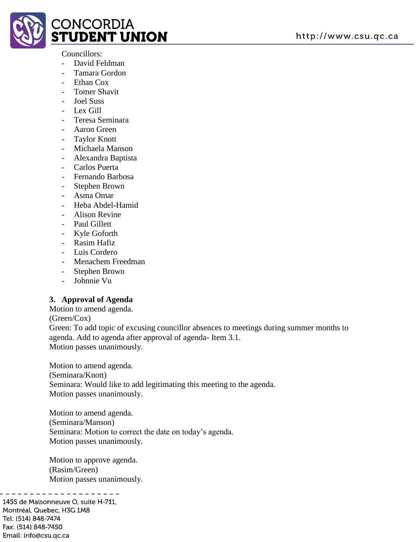

#### Councillors:

- David Feldman
- Tamara Gordon
- Ethan Cox
- Tomer Shavit
- Joel Suss
- Lex Gill
- Teresa Seminara
- Aaron Green
- Taylor Knott
- Michaela Manson
- Alexandra Baptista
- Carlos Puerta
- Fernando Barbosa
- Stephen Brown
- Asma Omar
- Heba Abdel-Hamid
- Alison Revine
- Paul Gillett
- Kyle Goforth
- Rasim Hafiz
- Luis Cordero
- Menachem Freedman
- Stephen Brown
- Johnnie Vu

## **3. Approval of Agenda**

Motion to amend agenda.

(Green/Cox)

Green: To add topic of excusing councillor absences to meetings during summer months to agenda. Add to agenda after approval of agenda- Item 3.1.

Motion passes unanimously.

Motion to amend agenda. (Seminara/Knott) Seminara: Would like to add legitimating this meeting to the agenda. Motion passes unanimously.

Motion to amend agenda. (Seminara/Manson) Seminara: Motion to correct the date on today's agenda. Motion passes unanimously.

Motion to approve agenda. (Rasim/Green) Motion passes unanimously.

. . . . . . . . . .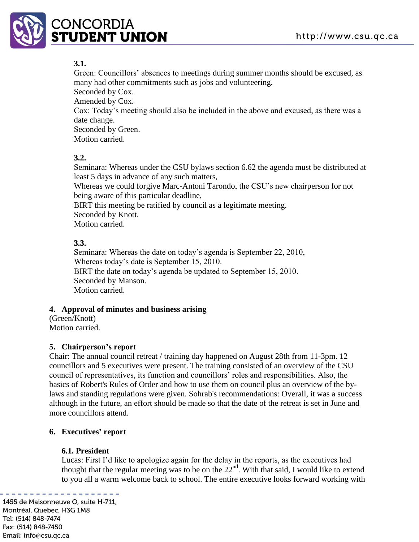

## **3.1.**

Green: Councillors' absences to meetings during summer months should be excused, as many had other commitments such as jobs and volunteering.

Seconded by Cox. Amended by Cox. Cox: Today's meeting should also be included in the above and excused, as there was a date change. Seconded by Green. Motion carried.

## **3.2.**

Seminara: Whereas under the CSU bylaws section 6.62 the agenda must be distributed at least 5 days in advance of any such matters,

Whereas we could forgive Marc-Antoni Tarondo, the CSU's new chairperson for not being aware of this particular deadline,

BIRT this meeting be ratified by council as a legitimate meeting. Seconded by Knott.

Motion carried.

## **3.3.**

Seminara: Whereas the date on today's agenda is September 22, 2010, Whereas today's date is September 15, 2010. BIRT the date on today's agenda be updated to September 15, 2010. Seconded by Manson. Motion carried.

## **4. Approval of minutes and business arising**

(Green/Knott) Motion carried.

## **5. Chairperson's report**

Chair: The annual council retreat / training day happened on August 28th from 11-3pm. 12 councillors and 5 executives were present. The training consisted of an overview of the CSU council of representatives, its function and councillors' roles and responsibilities. Also, the basics of Robert's Rules of Order and how to use them on council plus an overview of the bylaws and standing regulations were given. Sohrab's recommendations: Overall, it was a success although in the future, an effort should be made so that the date of the retreat is set in June and more councillors attend.

## **6. Executives' report**

#### **6.1. President**

Lucas: First I'd like to apologize again for the delay in the reports, as the executives had thought that the regular meeting was to be on the 22<sup>nd</sup>. With that said, I would like to extend to you all a warm welcome back to school. The entire executive looks forward working with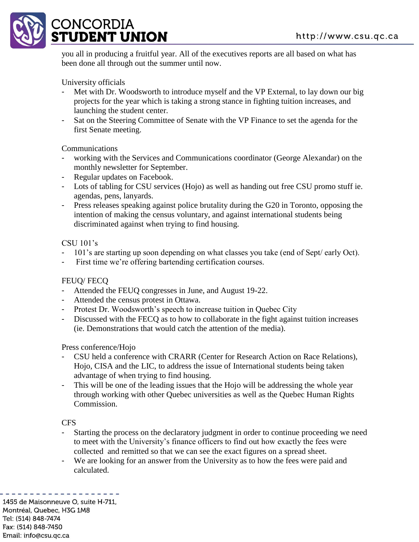

you all in producing a fruitful year. All of the executives reports are all based on what has been done all through out the summer until now.

## University officials

- Met with Dr. Woodsworth to introduce myself and the VP External, to lay down our big projects for the year which is taking a strong stance in fighting tuition increases, and launching the student center.
- Sat on the Steering Committee of Senate with the VP Finance to set the agenda for the first Senate meeting.

#### Communications

- working with the Services and Communications coordinator (George Alexandar) on the monthly newsletter for September.
- Regular updates on Facebook.
- Lots of tabling for CSU services (Hojo) as well as handing out free CSU promo stuff ie. agendas, pens, lanyards.
- Press releases speaking against police brutality during the G20 in Toronto, opposing the intention of making the census voluntary, and against international students being discriminated against when trying to find housing.

#### CSU 101's

- 101's are starting up soon depending on what classes you take (end of Sept/ early Oct).
- First time we're offering bartending certification courses.

## FEUQ/ FECQ

- Attended the FEUQ congresses in June, and August 19-22.
- Attended the census protest in Ottawa.
- Protest Dr. Woodsworth's speech to increase tuition in Quebec City
- Discussed with the FECQ as to how to collaborate in the fight against tuition increases (ie. Demonstrations that would catch the attention of the media).

#### Press conference/Hojo

- CSU held a conference with CRARR (Center for Research Action on Race Relations), Hojo, CISA and the LIC, to address the issue of International students being taken advantage of when trying to find housing.
- This will be one of the leading issues that the Hojo will be addressing the whole year through working with other Quebec universities as well as the Quebec Human Rights Commission.

#### CFS

- Starting the process on the declaratory judgment in order to continue proceeding we need to meet with the University's finance officers to find out how exactly the fees were collected and remitted so that we can see the exact figures on a spread sheet.
- We are looking for an answer from the University as to how the fees were paid and calculated.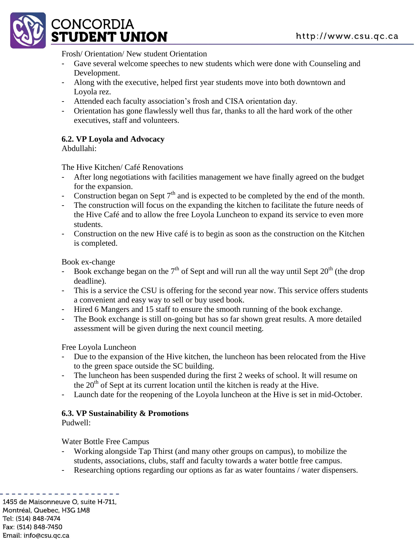

Frosh/ Orientation/ New student Orientation

- Gave several welcome speeches to new students which were done with Counseling and Development.
- Along with the executive, helped first year students move into both downtown and Loyola rez.
- Attended each faculty association's frosh and CISA orientation day.
- Orientation has gone flawlessly well thus far, thanks to all the hard work of the other executives, staff and volunteers.

## **6.2. VP Loyola and Advocacy**

Abdullahi:

The Hive Kitchen/ Café Renovations

- After long negotiations with facilities management we have finally agreed on the budget for the expansion.
- Construction began on Sept  $7<sup>th</sup>$  and is expected to be completed by the end of the month.
- The construction will focus on the expanding the kitchen to facilitate the future needs of the Hive Café and to allow the free Loyola Luncheon to expand its service to even more students.
- Construction on the new Hive café is to begin as soon as the construction on the Kitchen is completed.

Book ex-change

- Book exchange began on the  $7<sup>th</sup>$  of Sept and will run all the way until Sept  $20<sup>th</sup>$  (the drop deadline).
- This is a service the CSU is offering for the second year now. This service offers students a convenient and easy way to sell or buy used book.
- Hired 6 Mangers and 15 staff to ensure the smooth running of the book exchange.
- The Book exchange is still on-going but has so far shown great results. A more detailed assessment will be given during the next council meeting.

Free Loyola Luncheon

- Due to the expansion of the Hive kitchen, the luncheon has been relocated from the Hive to the green space outside the SC building.
- The luncheon has been suspended during the first 2 weeks of school. It will resume on the  $20<sup>th</sup>$  of Sept at its current location until the kitchen is ready at the Hive.
- Launch date for the reopening of the Loyola luncheon at the Hive is set in mid-October.

## **6.3. VP Sustainability & Promotions**

Pudwell:

Water Bottle Free Campus

- Working alongside Tap Thirst (and many other groups on campus), to mobilize the students, associations, clubs, staff and faculty towards a water bottle free campus.
- Researching options regarding our options as far as water fountains / water dispensers.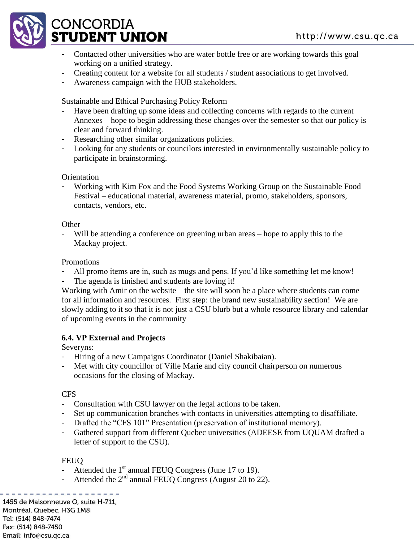

- Contacted other universities who are water bottle free or are working towards this goal working on a unified strategy.
- Creating content for a website for all students / student associations to get involved.
- Awareness campaign with the HUB stakeholders.

Sustainable and Ethical Purchasing Policy Reform

- Have been drafting up some ideas and collecting concerns with regards to the current Annexes – hope to begin addressing these changes over the semester so that our policy is clear and forward thinking.
- Researching other similar organizations policies.
- Looking for any students or councilors interested in environmentally sustainable policy to participate in brainstorming.

**Orientation** 

- Working with Kim Fox and the Food Systems Working Group on the Sustainable Food Festival – educational material, awareness material, promo, stakeholders, sponsors, contacts, vendors, etc.

**Other** 

Will be attending a conference on greening urban areas – hope to apply this to the Mackay project.

Promotions

- All promo items are in, such as mugs and pens. If you'd like something let me know!
- The agenda is finished and students are loving it!

Working with Amir on the website – the site will soon be a place where students can come for all information and resources. First step: the brand new sustainability section! We are slowly adding to it so that it is not just a CSU blurb but a whole resource library and calendar of upcoming events in the community

## **6.4. VP External and Projects**

Severyns:

- Hiring of a new Campaigns Coordinator (Daniel Shakibaian).
- Met with city councillor of Ville Marie and city council chairperson on numerous occasions for the closing of Mackay.

CFS

- Consultation with CSU lawyer on the legal actions to be taken.
- Set up communication branches with contacts in universities attempting to disaffiliate.
- Drafted the "CFS 101" Presentation (preservation of institutional memory).
- Gathered support from different Quebec universities (ADEESE from UQUAM drafted a letter of support to the CSU).

## **FEUQ**

- Attended the  $1<sup>st</sup>$  annual FEUQ Congress (June 17 to 19).
- Attended the  $2<sup>nd</sup>$  annual FEUQ Congress (August 20 to 22).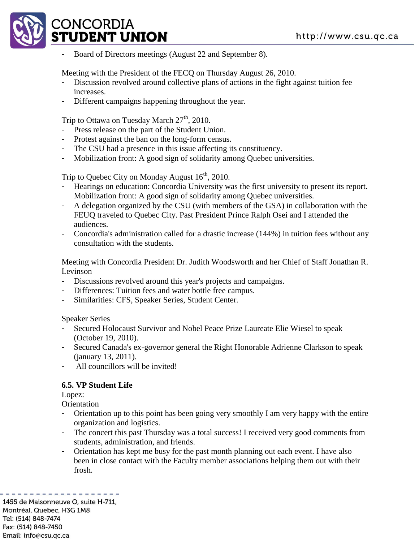

Board of Directors meetings (August 22 and September 8).

Meeting with the President of the FECQ on Thursday August 26, 2010.

- Discussion revolved around collective plans of actions in the fight against tuition fee increases.
- Different campaigns happening throughout the year.

Trip to Ottawa on Tuesday March  $27<sup>th</sup>$ , 2010.

- Press release on the part of the Student Union.
- Protest against the ban on the long-form census.
- The CSU had a presence in this issue affecting its constituency.
- Mobilization front: A good sign of solidarity among Quebec universities.

Trip to Quebec City on Monday August 16<sup>th</sup>, 2010.

- Hearings on education: Concordia University was the first university to present its report. Mobilization front: A good sign of solidarity among Quebec universities.
- A delegation organized by the CSU (with members of the GSA) in collaboration with the FEUQ traveled to Quebec City. Past President Prince Ralph Osei and I attended the audiences.
- Concordia's administration called for a drastic increase (144%) in tuition fees without any consultation with the students.

Meeting with Concordia President Dr. Judith Woodsworth and her Chief of Staff Jonathan R. Levinson

- Discussions revolved around this year's projects and campaigns.
- Differences: Tuition fees and water bottle free campus.
- Similarities: CFS, Speaker Series, Student Center.

Speaker Series

- Secured Holocaust Survivor and Nobel Peace Prize Laureate Elie Wiesel to speak (October 19, 2010).
- Secured Canada's ex-governor general the Right Honorable Adrienne Clarkson to speak (january 13, 2011).
- All councillors will be invited!

#### **6.5. VP Student Life**

Lopez:

**Orientation** 

- Orientation up to this point has been going very smoothly I am very happy with the entire organization and logistics.
- The concert this past Thursday was a total success! I received very good comments from students, administration, and friends.
- Orientation has kept me busy for the past month planning out each event. I have also been in close contact with the Faculty member associations helping them out with their frosh.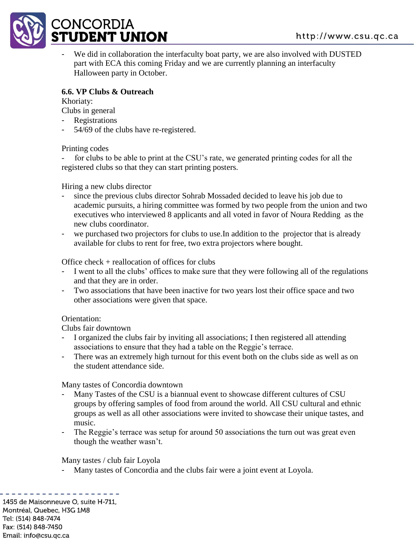

We did in collaboration the interfaculty boat party, we are also involved with DUSTED part with ECA this coming Friday and we are currently planning an interfaculty Halloween party in October.

## **6.6. VP Clubs & Outreach**

Khoriaty:

Clubs in general

- Registrations
- 54/69 of the clubs have re-registered.

Printing codes

for clubs to be able to print at the CSU's rate, we generated printing codes for all the registered clubs so that they can start printing posters.

Hiring a new clubs director

- since the previous clubs director Sohrab Mossaded decided to leave his job due to academic pursuits, a hiring committee was formed by two people from the union and two executives who interviewed 8 applicants and all voted in favor of Noura Redding as the new clubs coordinator.
- we purchased two projectors for clubs to use. In addition to the projector that is already available for clubs to rent for free, two extra projectors where bought.

Office check + reallocation of offices for clubs

- I went to all the clubs' offices to make sure that they were following all of the regulations and that they are in order.
- Two associations that have been inactive for two years lost their office space and two other associations were given that space.

## Orientation:

Clubs fair downtown

- I organized the clubs fair by inviting all associations; I then registered all attending associations to ensure that they had a table on the Reggie's terrace.
- There was an extremely high turnout for this event both on the clubs side as well as on the student attendance side.

Many tastes of Concordia downtown

- Many Tastes of the CSU is a biannual event to showcase different cultures of CSU groups by offering samples of food from around the world. All CSU cultural and ethnic groups as well as all other associations were invited to showcase their unique tastes, and music.
- The Reggie's terrace was setup for around 50 associations the turn out was great even though the weather wasn't.

Many tastes / club fair Loyola

Many tastes of Concordia and the clubs fair were a joint event at Loyola.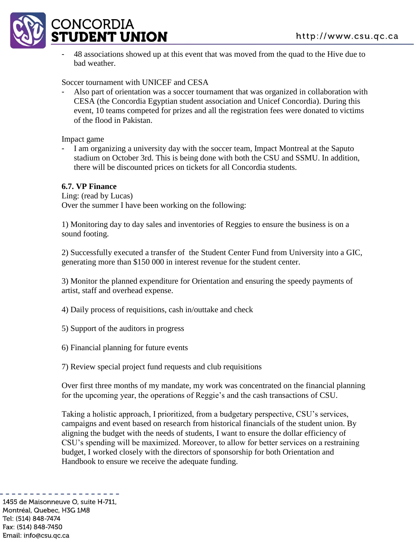

- 48 associations showed up at this event that was moved from the quad to the Hive due to bad weather.

Soccer tournament with UNICEF and CESA

Also part of orientation was a soccer tournament that was organized in collaboration with CESA (the Concordia Egyptian student association and Unicef Concordia). During this event, 10 teams competed for prizes and all the registration fees were donated to victims of the flood in Pakistan.

Impact game

- I am organizing a university day with the soccer team, Impact Montreal at the Saputo stadium on October 3rd. This is being done with both the CSU and SSMU. In addition, there will be discounted prices on tickets for all Concordia students.

#### **6.7. VP Finance**

Ling: (read by Lucas) Over the summer I have been working on the following:

1) Monitoring day to day sales and inventories of Reggies to ensure the business is on a sound footing.

2) Successfully executed a transfer of the Student Center Fund from University into a GIC, generating more than \$150 000 in interest revenue for the student center.

3) Monitor the planned expenditure for Orientation and ensuring the speedy payments of artist, staff and overhead expense.

4) Daily process of requisitions, cash in/outtake and check

5) Support of the auditors in progress

6) Financial planning for future events

7) Review special project fund requests and club requisitions

Over first three months of my mandate, my work was concentrated on the financial planning for the upcoming year, the operations of Reggie's and the cash transactions of CSU.

Taking a holistic approach, I prioritized, from a budgetary perspective, CSU's services, campaigns and event based on research from historical financials of the student union. By aligning the budget with the needs of students, I want to ensure the dollar efficiency of CSU's spending will be maximized. Moreover, to allow for better services on a restraining budget, I worked closely with the directors of sponsorship for both Orientation and Handbook to ensure we receive the adequate funding.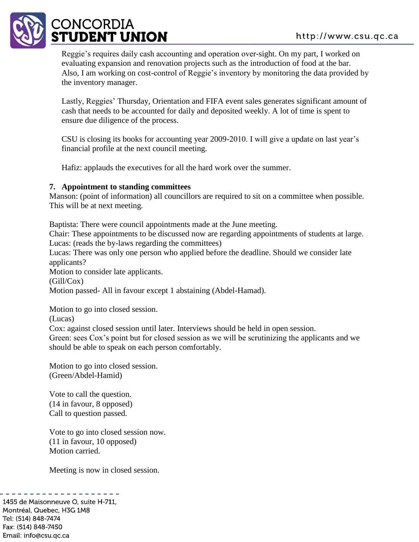

Reggie's requires daily cash accounting and operation over-sight. On my part, I worked on evaluating expansion and renovation projects such as the introduction of food at the bar. Also, I am working on cost-control of Reggie's inventory by monitoring the data provided by the inventory manager.

Lastly, Reggies' Thursday, Orientation and FIFA event sales generates significant amount of cash that needs to be accounted for daily and deposited weekly. A lot of time is spent to ensure due diligence of the process.

CSU is closing its books for accounting year 2009-2010. I will give a update on last year's financial profile at the next council meeting.

Hafiz: applauds the executives for all the hard work over the summer.

#### **7. Appointment to standing committees**

Manson: (point of information) all councillors are required to sit on a committee when possible. This will be at next meeting.

Baptista: There were council appointments made at the June meeting.

Chair: These appointments to be discussed now are regarding appointments of students at large. Lucas: (reads the by-laws regarding the committees)

Lucas: There was only one person who applied before the deadline. Should we consider late applicants?

Motion to consider late applicants.

(Gill/Cox)

Motion passed- All in favour except 1 abstaining (Abdel-Hamad).

Motion to go into closed session.

(Lucas)

Cox: against closed session until later. Interviews should be held in open session.

Green: sees Cox's point but for closed session as we will be scrutinizing the applicants and we should be able to speak on each person comfortably.

Motion to go into closed session. (Green/Abdel-Hamid)

Vote to call the question. (14 in favour, 8 opposed) Call to question passed.

Vote to go into closed session now. (11 in favour, 10 opposed) Motion carried.

Meeting is now in closed session.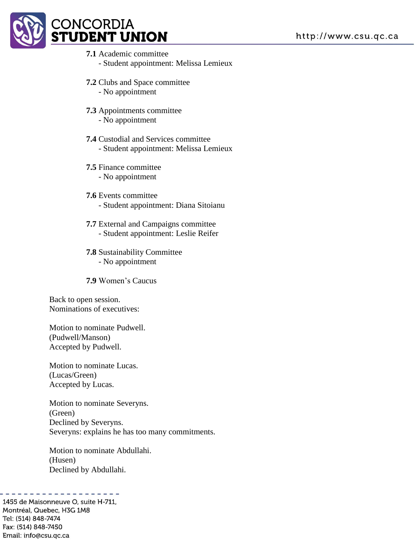

## **7.1** Academic committee

- Student appointment: Melissa Lemieux
- **7.2** Clubs and Space committee
	- No appointment
- **7.3** Appointments committee
	- No appointment
- **7.4** Custodial and Services committee - Student appointment: Melissa Lemieux
- **7.5** Finance committee
	- No appointment
- **7.6** Events committee - Student appointment: Diana Sitoianu
- **7.7** External and Campaigns committee - Student appointment: Leslie Reifer
- **7.8** Sustainability Committee - No appointment

**7.9** Women's Caucus

Back to open session. Nominations of executives:

Motion to nominate Pudwell. (Pudwell/Manson) Accepted by Pudwell.

Motion to nominate Lucas. (Lucas/Green) Accepted by Lucas.

Motion to nominate Severyns. (Green) Declined by Severyns. Severyns: explains he has too many commitments.

Motion to nominate Abdullahi. (Husen) Declined by Abdullahi.

. . . . . . . . . . . . .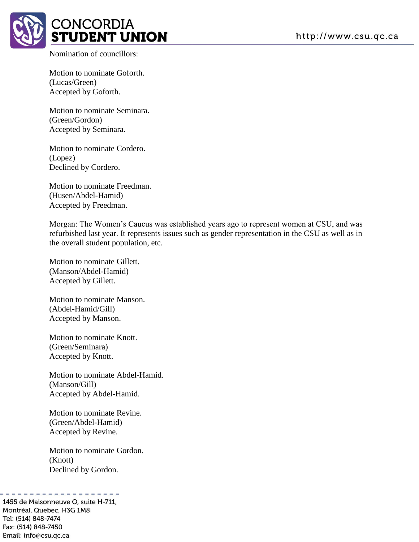

Nomination of councillors:

Motion to nominate Goforth. (Lucas/Green) Accepted by Goforth.

Motion to nominate Seminara. (Green/Gordon) Accepted by Seminara.

Motion to nominate Cordero. (Lopez) Declined by Cordero.

Motion to nominate Freedman. (Husen/Abdel-Hamid) Accepted by Freedman.

Morgan: The Women's Caucus was established years ago to represent women at CSU, and was refurbished last year. It represents issues such as gender representation in the CSU as well as in the overall student population, etc.

Motion to nominate Gillett. (Manson/Abdel-Hamid) Accepted by Gillett.

Motion to nominate Manson. (Abdel-Hamid/Gill) Accepted by Manson.

Motion to nominate Knott. (Green/Seminara) Accepted by Knott.

Motion to nominate Abdel-Hamid. (Manson/Gill) Accepted by Abdel-Hamid.

Motion to nominate Revine. (Green/Abdel-Hamid) Accepted by Revine.

Motion to nominate Gordon. (Knott) Declined by Gordon.

Montréal, Quebec, H3G 1M8 Tel: (514) 848-7474 Fax: (514) 848-7450 Email: info@csu.qc.ca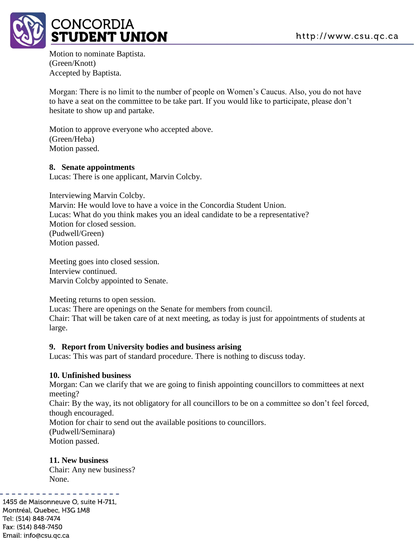

Motion to nominate Baptista. (Green/Knott) Accepted by Baptista.

Morgan: There is no limit to the number of people on Women's Caucus. Also, you do not have to have a seat on the committee to be take part. If you would like to participate, please don't hesitate to show up and partake.

Motion to approve everyone who accepted above. (Green/Heba) Motion passed.

#### **8. Senate appointments**

Lucas: There is one applicant, Marvin Colcby.

Interviewing Marvin Colcby. Marvin: He would love to have a voice in the Concordia Student Union. Lucas: What do you think makes you an ideal candidate to be a representative? Motion for closed session. (Pudwell/Green) Motion passed.

Meeting goes into closed session. Interview continued. Marvin Colcby appointed to Senate.

Meeting returns to open session.

Lucas: There are openings on the Senate for members from council.

Chair: That will be taken care of at next meeting, as today is just for appointments of students at large.

#### **9. Report from University bodies and business arising**

Lucas: This was part of standard procedure. There is nothing to discuss today.

#### **10. Unfinished business**

Morgan: Can we clarify that we are going to finish appointing councillors to committees at next meeting?

Chair: By the way, its not obligatory for all councillors to be on a committee so don't feel forced, though encouraged.

Motion for chair to send out the available positions to councillors.

(Pudwell/Seminara) Motion passed.

#### **11. New business**

Chair: Any new business? None.